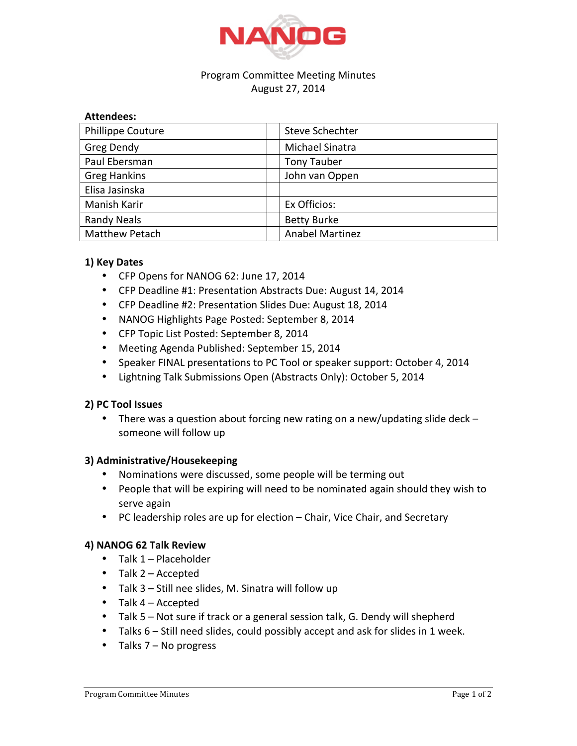

# Program Committee Meeting Minutes August 27, 2014

#### **Attendees:**

| Phillippe Couture     | <b>Steve Schechter</b> |
|-----------------------|------------------------|
| Greg Dendy            | Michael Sinatra        |
| Paul Ebersman         | <b>Tony Tauber</b>     |
| <b>Greg Hankins</b>   | John van Oppen         |
| Elisa Jasinska        |                        |
| Manish Karir          | Ex Officios:           |
| <b>Randy Neals</b>    | <b>Betty Burke</b>     |
| <b>Matthew Petach</b> | <b>Anabel Martinez</b> |

## **1) Key Dates**

- CFP Opens for NANOG 62: June 17, 2014
- CFP Deadline #1: Presentation Abstracts Due: August 14, 2014
- CFP Deadline #2: Presentation Slides Due: August 18, 2014
- NANOG Highlights Page Posted: September 8, 2014
- CFP Topic List Posted: September 8, 2014
- Meeting Agenda Published: September 15, 2014
- Speaker FINAL presentations to PC Tool or speaker support: October 4, 2014
- Lightning Talk Submissions Open (Abstracts Only): October 5, 2014

## **2) PC Tool Issues**

• There was a question about forcing new rating on a new/updating slide deck  $$ someone will follow up

#### **3) Administrative/Housekeeping**

- Nominations were discussed, some people will be terming out
- People that will be expiring will need to be nominated again should they wish to serve again
- PC leadership roles are up for election Chair, Vice Chair, and Secretary

#### **4) NANOG 62 Talk Review**

- $\bullet$  Talk 1 Placeholder
- Talk 2 Accepted
- Talk  $3 -$  Still nee slides, M. Sinatra will follow up
- Talk  $4 -$  Accepted
- Talk 5 Not sure if track or a general session talk, G. Dendy will shepherd
- Talks  $6 Still$  need slides, could possibly accept and ask for slides in 1 week.
- Talks  $7 No$  progress